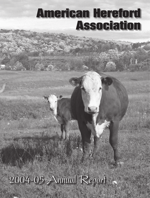# American Hereford Association

# 2004-05 Annual Report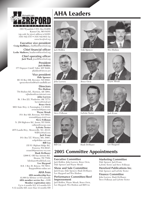

1501 Wyandotte • P.O. Box 014059 Kansas City, MO 64101 (zip code for street address is 64108) (816) 842-3757 • (816) 842-6931 fax *www.hereford.org*

**Executive vice president Craig Huffhines,** chuffhin@hereford.org

**Chief financial officer Leslie Mathews,** lmathews@hereford.org

> **Chief operating officer Jack Ward,** jward@hereford.org

**President Jack Holden** 377 Dupuyer Cutoff, Valier, MT 59486, jtholden@3rivers.net

**Vice president Dale Spencer** HC 63 Box 16B, Brewster, NE 68821, spencerhereford@neb-sandhills.net

**Directors Wes Hudson** 754 Hudson Rd., Harrison, AR 72601, wjhudson@cox-internet.com **John Loewen** Rt. 1 Box 221, Waukomis, OK 73773, loewen@ctrail.net **Bruce Orvis** 9601 State Hwy. 4, Farmington, CA 95230, orvisranch@juno.com **Wayne Mrnak** P.O. Box 826, Bowman, ND 58623, wmrnak@pop.ctctel.com **Steve Folkman** N. 250 Highview Rd., Ixonia, WI 53036, cnlfarm@execpc.com **LaVette Teeter** 2075 Landis Hwy., Mooresville, NC, 28115, WillVia1@aol.com **Jack Evans** P.O. Box 727, Winona, MS, 38967, eehje@dixie-net.com **Bill Cox** 155 W. Oliphant Ridge Rd., Pomeroy, WA 99347, cxranch@pomerory-wa.com **Hank DeShazer** 12000 E. Old San Antonio Rd., Hearne, TX 77859, hdeshazer@cablelock.com **Lee Haygood** R.R. 1 Box 36, Briscoe, TX 79011, lhaygood@nts-online.net **AHA Fees AHA membership fees**

\$1,000 for lifetime or \$15 annually **AHA member service fee –** \$100 **Member registration rates** Up to 4 months \$12; 4-8 months \$18 8-12 months \$25; more than 12 months \$50

# AHA Leaders





John Loewen Bruce Orvis Wayne Mrnak



Steve Folkman Jack Evans LaVette Teeter





Jack Holden Wes Hudson Dale Spencer



Bruce Orvis





Bill Cox Hank DeShazer Lee Haygood









## **2005 Committee Appointments**

**Executive Committee** Jack Holden, John Loewen, Bruce Orvis, Dale Spencer and Wayne Mrnak

**Show and Sale Committee** Jack Evans, Dale Spencer, Hank DeShazer, Lee Haygood and Wes Hudson

#### **Performance Committee/Beef Improvement**

Jack Holden, Wayne Mrnak, Bruce Orvis, Lee Haygood, Wes Hudson and Bill Cox

**Marketing Committee** Dale Spencer, Jack Evans,

LaVette Teeter and Steve Folkman

**Hereford Publications Inc.** Dale Spencer and LaVette Teeter

**Finance Committee** John Loewen, Hank DeShazer, Steve Folkman and LaVette Teeter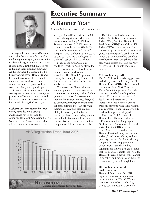

Congratulations Hereford breeders on another banner year for Hereford marketing. Once again, enthusiasm for the breed has grown across the country as commercial cattlemen have begun rethinking their breeding programs. As the cow herd has migrated to be heavily Angus based, Herefords have become the obvious choice to utilize on black cows for those cattlemen who understand the power of breed complimentarity and hybrid vigor.

It seems that cattlemen around the country are rediscovering what a great product the Hereford breed has and how much breed improvement has been made during the last 10 years.

#### **Registrations, inventories increase**

Strong attitudes and a strong marketplace have benefited the American Hereford Association (AHA). Once again the Association reported a terrific year. Business trends remain

# Executive Summary

# **A Banner Year**

*by Craig Huffhines, AHA executive vice president*

strong as the AHA experienced a 3.6% increase in registration, with total registrations reaching 71,330 head. Breeders reported 110,380 cows on inventory enrolled in the Whole Herd Total Performance Records (TPR™) program. This number is as impressive as ever as the Association begins its sixth full year of Whole Herd TPR.

Much of the strength in our seedstock marketing can be attributed to the seriousness Hereford breeders take in accurate performance recording. The AHA TPR program is quickly becoming the "gold standard" for performance testing in the U.S. seedstock industry.

The reason the Hereford breed remains popular today is because of its focus on profitability and profitable genetics. This year the Association launched four profit indexes designed to economically weigh relevant traits reported through the TPR program. Animals are ranked based on their ability to deliver profit in terms of dollars per head to a breeding system. Several industry leaders from around the country have commented on the uniqueness of these powerful tools.



Each index — Baldie Maternal Index (BMI\$), Brahman Influence Index (BII\$), Certified Hereford Beef Index (CHB\$) and Calving EZ Index (CEZ\$) — are designed for specific target markets where Hereford genetics are frequently used. We are happy that many Hereford breeders have been incorporating these indexes along with carcass expected progeny differences (EPDs) into their sale books.

#### **CHB continues growth**

The AHA's flagship marketing program and wholly owned subsidiary, Certified Hereford Beef (CHB) LLC, reported sterling results in 2004-05 as well. Forty-five million pounds of branded Certified Hereford Beef® product were sold to licensed retailers and food-service distributors, a 20% increase in boxed beef movement from the previous year's sales volume. This represented approximately 1,025 truckloads of product shipped.

More than 443,000 head of Hereford and Hereford-influenced cattle were sold into the program. Of those, 268,000 were certified and sorted into the CHB program.

AHA and CHB unveiled the Hereford Verified program in August. Although still in its infancy, we have great expectations for this marketing program that will help producers benefit from CHB demand by validating the source, age and genetic makeup of CHB-eligible feeder cattle. Hereford Verified provides the market, information and premiums without the risk of owning cattle through harvest.

#### **HPI continues to provide quality services**

Hereford Publications Inc. (HPI) reported its second straight year of profitability in 2004-05. We are very fortunate to have such a highquality communication piece with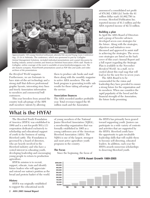

*Approximately 100 young Hereford enthusiasts attended the second Young Guns Conference Aug. 25-26 in Nebraska. The conference, which was sponsored in part by Gallagher Animal Management Solutions, included individual presentations and a panel discussion by leading industry animal scientists and American Hereford Association (AHA) staff. Thanks to Gallagher, online coverage of the event is available at* www.herefordyoungguns.com*. The site features synopses, PowerPoint® presentations saved as PDF files and audio and video archives of the presentations.*

the *Hereford World* magazine. Furthermore, we are fortunate to have state-of-the-art technology and a strong staff that delivers professional graphic layouts, interesting story lines and timely Association information to members and commercial bull customers.

This year breeders from around the country took advantage of the HPI staff members' talents by allowing

them to produce sale books and mail them along with the monthly magazine to active AHA members. The sale book program is generating terrific sale results for those taking advantage of the service.

#### **Association finances**

The AHA recorded another profitable year. Total revenues topped the \$5 million mark and the Association

announced a consolidated net profit of \$70,302. CHB LLC broke the \$1 million dollar mark (\$1,062,750) in revenue, Hereford Publication Inc. reported income of \$1.3 million and the AHA reported income of \$2.72 million.

#### **Building a plan**

In April the AHA Board of Directors and a group of breeder advisers developed seven core strategies for the future. Along with the strategies, objectives and initiatives were discussed and approved to assist staff in achieving the strategies. The seven core strategies are listed on the back cover of this year's Annual Report and a full report regarding the Strategic Plan is available in the November *Hereford World*. As a staff, we're excited about this road map that will lead us for the next five to seven years.

The AHA Board is to be commended for the vision and leadership they have provided to ensure a strong future for the organization and its members. When one considers the rapid popularity of the breed and the financial strength of the Association, the future looks promising.

### **What is the HYFA?**

The Hereford Youth Foundation of America (HYFA) was established in 1989 and is a not-for-profit  $501(c)(3)$ corporation dedicated exclusively to scholarship and educational support of youth in the business of raising Hereford cattle. The Foundation is governed by a board of directors, who are heavily involved in the Hereford industry and who have a vested interest in educating youth, developing leadership and encouraging young people to return to production agriculture.

HYFA's mission is to recruit, support, educate, train and identify future leaders who will appreciate and extend our nation's position as the bread and protein basket of the world.

#### **History**

HYFA was originally established to support the educational needs

of young members of the National Junior Hereford Association (NJHA), a membership organization that was formally established in 1965 as a young cattlemen arm of the American Hereford Association (AHA). The NJHA is one of the largest, strongest and most active agriculture youth programs in the country.

#### **The Focus**

Since the beginning, the focus of

the HYFA has primarily been geared toward supporting youth. Juniors can participate in a wide variety of contests and activities that are supported by the HYFA. Hereford youth have the opportunity to gain invaluable leadership skills that will enable them to become self-directing, educated leaders. In addition, each year the HYFA awards numerous scholarships to deserving Hereford youth.



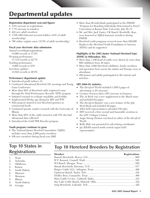# Departmental updates

#### **Registration department year-end figures**

- 3.6% increase in registrations
- 7.7% increase in transfers
- 424 new adult members
- 1,536 AHA Internet account holders (44% of adult membership)
- 706 online registry users (18.5% of adult membership)

#### **Fiscal year electronic data submission**

Animal recordings/registrations

18,996 records or 17.6%

Weaning performance

17,714 records or 22.7%

Yearling performance

 6,966 records or 23%

Inventory updates

33,822 records or 26.9%

#### **Performance department update**

- Introduced profit indexes  $(\$)$
- Continued educational Hereford 101 meetings and Young Guns Conference
- More than 80% of Hereford cattle registered came through the Total Performance Records (TPR) program
- Initiated research to evaluate stayability and fertility
- Implemented 60-day age slicing for BW and WW
- Pilot projects started to test Hereford genetics in commercial herds
- Continued genetic marker research with the University of Illinois
- More than 60% of the cattle turned in with YW also had ultrasound data collected
- Introduced the Gold TPR Breeder program

#### **Youth program continues to grow**

- The National Junior Hereford Association (NJHA) includes more than 2,000 junior members
- 450 new members during fiscal year 2005

# **Top 10 States in**   $Registrations$

- 1. Texas
- 2. Nebraska
- 3. Oklahoma
- 4. Kansas
- 5. South Dakota
- 6. Missouri
- 7. Montana
- 8. Illinois
- 9. North Dakota
- 10. Georgia
- More than 90 individuals participated in the PRIDE "Program for Reaching Individuals Determined to Excel" Convention at Kansas State University, July 28–31
- Mr. and Mrs. Jack Vanier, CK Ranch, Brookville, Kan., were honored as NJHA honorary members during PRIDE
- Hereford youth programs received more than \$20,000 thanks to the Hereford Youth Foundation of America (HYFA) and its supporters

#### **Highlights of the 2005 Junior National Hereford Expo (JNHE) in Milwaukee, Wis.**

- More than 1,100 head of cattle were shown by more than 600 exhibitors from 36 states
- More than 3,000 Hereford exhibitors, family members and spectators from across the nation and Europe were in attendance
- 450 juniors and adults participated in 20 contests and activities

#### **HPI 2004-05 statistics**

- The *Hereford World* included 1,059.5 pages of advertising (a 2% increase)
- • Creative Services had a 35% increase in business
- The *AI Book* was a new supplement to the March issue and included 64 pages
- The *Hereford Register* was a new feature of the July Herd Book and included 20 pages
- AHA field representatives attended 158 sales
- HPI received a first, second and honorable mention in the LPC Critique Contest
- Angie Stump Denton was hired as editor of the *Hereford World*
- Kelly Hale was promoted to advertising coordinator
- Jay Elfeldt named north central region field representative

# **Top 10 Hereford Breeders by Registration**

| Member | <b>Registrations</b> |
|--------|----------------------|
|        |                      |
|        |                      |
|        |                      |
|        |                      |
|        |                      |
|        |                      |
|        |                      |
|        |                      |
|        |                      |
|        |                      |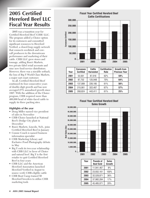# **2005 Certified Hereford Beef LLC Fiscal Year Results**

2005 was a transition year for Certified Hereford Beef (CHB) LLC. The program added a Choice option for its customers and committed significant resources to Hereford Verified, a closed-loop supply network that connects seedstock and cowcalf producers to the downstream performance and marketing of their cattle. CHB LLC grew stores and tonnage, adding Russ's Markets, two private-label retail accounts and nine new food-service distributors. However, there was a sizeable setback, the loss of Big Y World Class Markets, a major east coast customer.

In all, Certified Hereford Beef continued its four consecutive years of double-digit growth and has now averaged 27% annualized growth since 1997. With the addition of the Choice program, CHB required more than 400,000 head of white-faced cattle to supply its three packing sites.

#### **Highlights of the year**

- Doug Miller named vice president of sales in November
- CHB Choice launched at National Beef's Dodge City plant in December
- Russ's Markets, Lincoln, Neb., joins Certified Hereford Beef in January
- Connie Couch is named business information specialist
- CHB Marketing Library and Exclusive Food Photography debuts in May
- Big Y ends its two-year relationship with CHB LLC in favor of Choice and natural beef. Big Y is the first retailer to quit Certified Hereford Beef in four years
- CHB LLC and the American Hereford Association launched Hereford Verified in August to source verify CHB-eligible cattle
- CHB Boot Camp trained 50 Hereford breeders to utilize CHB marketing tools



| Year | <b>Carcasses</b><br><b>Certified</b> | Cattle<br><b>Harvested</b> | <b>Certification</b><br>Rate | <b>Growth from</b><br><b>Previous Year</b> |
|------|--------------------------------------|----------------------------|------------------------------|--------------------------------------------|
| 2001 | 53,561                               | 87,018                     | 62%                          | 59%                                        |
| 2002 | 87,752                               | 125,948                    | 70%                          | 64%                                        |
| 2003 | 137.089                              | 226,185                    | 61%                          | 56%                                        |
| 2004 | 215,061                              | 322,407                    | 67%                          | 57%                                        |
| 2005 | 268,824                              | 443,411                    | 61%                          | 25%                                        |

#### **Fiscal Year Certified Hereford Beef Sales Growth**



| Year | <b>Pounds of</b><br><b>Beef Sold</b> | <b>Sales</b><br>Growth |
|------|--------------------------------------|------------------------|
| 2001 | 11,941,467                           | 8%                     |
| 2002 | 23,932,161                           | 100%                   |
| 2003 | 32,528,871                           | 36%                    |
| 2004 | 37,982,284                           | 17%                    |
| 2005 | 45,485,071                           | 20%                    |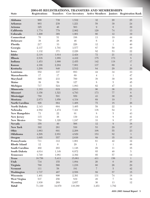#### **2004-05 Registrations, Transfers and Memberships**

| <b>State</b>            | <b>Registrations</b> | <b>Transfers</b> |                | 2004-00 REGISTRATIONS, TRANSPERS AND MEMBERSHIPS |                  | Cow Inventory Active Members Juniors Registration Rank |
|-------------------------|----------------------|------------------|----------------|--------------------------------------------------|------------------|--------------------------------------------------------|
| <b>Alabama</b>          | 900                  | 739              | 1,532          | 32                                               | $20\,$           | 25                                                     |
| <b>Arkansas</b>         | 903                  | 239              | 1,221          | 58                                               | 39               | 24                                                     |
| <b>Arizona</b>          | 325                  | 46               | 503            | $\boldsymbol{9}$                                 | $\boldsymbol{0}$ | 39                                                     |
| California              | 1,774                | 779              | 2,902          | 120                                              | 74               | 13                                                     |
| Colorado                | 1,290                | 368              | 1,901          | 66                                               | 12               | 19                                                     |
| Connecticut             | 70                   | $51\,$           | 188            | $13\,$                                           | 19               | $44\,$                                                 |
| <b>Delaware</b>         | 38                   | 28               | 46             | $6\phantom{.}6$                                  | $\,2$            | 46                                                     |
| Florida                 | 217                  | 33               | 226            | 12                                               | $\mathbf 1$      | 40                                                     |
| Georgia                 | 2,137                | 1,791            | 3,577          | 87                                               | 50               | 10                                                     |
| Iowa                    | 1,132                | 371              | 2,226          | 82                                               | 53               | 22                                                     |
| <b>Idaho</b>            | 2,118                | 1,014            | 2,424          | $72\,$                                           | 21               | 11                                                     |
| <b>Illinois</b>         | 2,538                | 1,088            | 4,432          | 175                                              | 173              | $8\,$                                                  |
| Indiana                 | 1,453                | 1,000            | 2,455          | 142                                              | 118              | 17                                                     |
| <b>Kansas</b>           | 4,166                | 2,204            | 7,001          | 137                                              | 69               | $\sqrt{4}$                                             |
| Kentucky                | 1,288                | 840              | 2,512          | 84                                               | 29               | 20                                                     |
| Louisiana               | 552                  | 337              | 683            | $44\,$                                           | 34               | 33                                                     |
| <b>Massachusetts</b>    | 17                   | 17               | 69             | $\overline{4}$                                   | $\mathbf 1$      | $47\,$                                                 |
| <b>Maryland</b>         | 395                  | 233              | 760            | 38                                               | 39               | 36                                                     |
| Maine                   | $39\,$               | 59               | 127            | $8\,$                                            | $\rm 5$          | $45\,$                                                 |
| Michigan                | $717\,$              | 524              | 1,083          | 62                                               | 47               | 31                                                     |
| <b>Minnesota</b>        | 1,183                | 619              | 2,613          | 96                                               | 36               | $21\,$                                                 |
| Missouri                | 3,156                | 1,521            | 4,793          | 173                                              | 77               | $\,6\,$                                                |
| Mississippi             | 780                  | 591              | 859            | 43                                               | 30               | 28                                                     |
| <b>Montana</b>          | 2,973                | 1,050            | 4,334          | 69                                               | 19               | $\sqrt{ }$                                             |
| <b>North Carolina</b>   | 826                  | 664              | 1,408          | $75\,$                                           | 18               | 26                                                     |
| North Dakota            | 2,143                | 604              | 3,405          | 59                                               | $22\,$           | $\boldsymbol{9}$                                       |
| Nebraska                | 4,582                | 1,474            | 7,321          | 138                                              | $54\,$           | $\mathbf 2$                                            |
| <b>New Hampshire</b>    | 73                   | 22               | $91\,$         | $8\,$                                            | $\bf 5$          | 43                                                     |
| New Jersey              | 115                  | 36               | 139            | 14                                               | $8\,$            | $41\,$                                                 |
| <b>New Mexico</b>       | 789                  | 1,320            | 1,247          | 33                                               | $8\,$            | 27                                                     |
| <b>Nevada</b>           | 358                  | 49               | 566            | 12                                               | $\boldsymbol{9}$ | 38                                                     |
| <b>New York</b><br>Ohio | 392                  | 261              | 530            | $53\,$                                           | $29\,$           | 37                                                     |
| <b>Oklahoma</b>         | 1,063                | 691              | 2,208          | 108<br>153                                       | $55\,$<br>$82\,$ | 23<br>$\mathfrak{Z}$                                   |
| Oregon                  | 4,298<br>1,695       | 2,851<br>557     | 4,829<br>2,636 | $89\,$                                           | $35\,$           | 16                                                     |
| Pennsylvania            | $711\,$              | 312              | 1,001          | 61                                               | $42\,$           | 32                                                     |
| <b>Rhode Island</b>     | 12                   | $\boldsymbol{0}$ | 29             | 1                                                | $\mathbf 1$      | $48\,$                                                 |
| South Carolina          | 492                  | 293              | 1,148          | $29\,$                                           | 11               | 35                                                     |
| South Dakota            | 4,014                | 1,148            | 6,972          | $85\,$                                           | $40\,$           | $\rm 5$                                                |
| <b>Tennessee</b>        | 1,740                | 1,081            | 2,392          | 95                                               | $57\,$           | $14\,$                                                 |
| <b>Texas</b>            | 10,756               | 5,413            | 15,063         | 411                                              | 156              | $\mathbf 1$                                            |
| Utah                    | 734                  | $155\,$          | 1,084          | $26\,$                                           | $\boldsymbol{0}$ | 30                                                     |
| Virginia                | 760                  | 566              | 1,238          | 60                                               | 26               | 29                                                     |
| <b>Vermont</b>          | 111                  | $58\,$           | 181            | $\overline{7}$                                   | $\bf 5$          | $42\,$                                                 |
| Washington              | 1,737                | 467              | 2,558          | 89                                               | $57\,$           | $15\,$                                                 |
| Wisconsin               | 1,401                | 890              | 2,391          | 131                                              | $74\,$           | $18\,$                                                 |
| <b>West Virgina</b>     | 537                  | 256              | 819            | $48\,$                                           | $\overline{7}$   | 34                                                     |
| Wyoming                 | 1,830                | 269              | 2,657          | 36                                               | 13               | $12\,$                                                 |

**Total** 71,330 34,979 110,380 3,453 1,782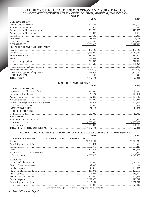#### AMERICAN HEREFORD ASSOCIATION AND SUBSIDIARIES CONSOLIDATED STATEMENTS OF FINANCIAL POSITION, AUGUST 31, 2005 AND 2004 **ACCETE**

|                               | ASSE 15                           |      |
|-------------------------------|-----------------------------------|------|
|                               | 2005                              | 2004 |
| <b>CURRENT ASSETS</b>         |                                   |      |
|                               |                                   |      |
|                               |                                   |      |
|                               |                                   |      |
|                               |                                   |      |
|                               |                                   |      |
|                               |                                   |      |
|                               |                                   |      |
|                               |                                   |      |
| PROPERTY, PLANT AND EQUIPMENT |                                   |      |
|                               |                                   |      |
|                               |                                   |      |
|                               |                                   |      |
|                               |                                   |      |
|                               |                                   |      |
|                               |                                   |      |
|                               |                                   |      |
|                               |                                   |      |
|                               |                                   |      |
| OTHER ASSETS $\frac{1}{48}$   |                                   |      |
|                               |                                   |      |
|                               | <b>LIABILITIES AND NET ASSETS</b> |      |
|                               | 2005                              | 9004 |

| <b>CURRENT LIABILITIES</b>                                                                                                                                                                                                                                                                                                                                                                                                                                                                                            |  |
|-----------------------------------------------------------------------------------------------------------------------------------------------------------------------------------------------------------------------------------------------------------------------------------------------------------------------------------------------------------------------------------------------------------------------------------------------------------------------------------------------------------------------|--|
| ${\bf \emph{Current portion of long-term debt} \emph{.}\normalsize \text{\normalsize $\$6,640$} \emph{Prepayments from breeders} \emph{.}\normalsize \text{\normalsize $\text{\emph{129,174}}\normalsize \text{\normalsize $\text{\emph{129,174}}\normalsize \text{\normalsize $\text{\emph{129,174}}\normalsize \text{\normalsize $\text{\emph{129,174}}\normalsize \text{\normalsize $\text{\emph{129,174}}}\normalsize \text{\normalsize $\text{\emph{129,174}}}\normalsize \text{\normalsize $\text{\emph{129,17$ |  |
|                                                                                                                                                                                                                                                                                                                                                                                                                                                                                                                       |  |
|                                                                                                                                                                                                                                                                                                                                                                                                                                                                                                                       |  |
|                                                                                                                                                                                                                                                                                                                                                                                                                                                                                                                       |  |
|                                                                                                                                                                                                                                                                                                                                                                                                                                                                                                                       |  |
| $\begin{minipage}{0.9\linewidth} \textbf{Defered subscription and advertising revenue} \textbf{} \textbf{} \textbf{} \textbf{} \textbf{} \textbf{} \textbf{} \textbf{} \textbf{} \textbf{} \textbf{} \textbf{} \textbf{} \textbf{} \textbf{} \textbf{} \textbf{} \textbf{} \textbf{} \textbf{} \textbf{} \textbf{} \textbf{} \textbf{} \textbf{} \textbf{} \textbf{} \textbf{} \textbf{} \textbf{} \textbf{} \textbf{} \textbf{$                                                                                      |  |
|                                                                                                                                                                                                                                                                                                                                                                                                                                                                                                                       |  |
| <b>OTHER LIABILITIES</b>                                                                                                                                                                                                                                                                                                                                                                                                                                                                                              |  |
|                                                                                                                                                                                                                                                                                                                                                                                                                                                                                                                       |  |
| <b>NET ASSETS</b>                                                                                                                                                                                                                                                                                                                                                                                                                                                                                                     |  |
|                                                                                                                                                                                                                                                                                                                                                                                                                                                                                                                       |  |
|                                                                                                                                                                                                                                                                                                                                                                                                                                                                                                                       |  |
|                                                                                                                                                                                                                                                                                                                                                                                                                                                                                                                       |  |
|                                                                                                                                                                                                                                                                                                                                                                                                                                                                                                                       |  |

#### CONSOLIDATED STATEMENTS OF ACTIVITIES FOR THE YEARS ENDED AUGUST 31, 2005 AND 2004

|                                                          | 2005 | 2004 |
|----------------------------------------------------------|------|------|
| CHANGES IN UNRESTRICTED NET ASSETS, REVENUES AND SUPPORT |      |      |
|                                                          |      |      |
|                                                          |      |      |
|                                                          |      |      |
|                                                          |      |      |
|                                                          |      |      |
|                                                          |      |      |
| <b>EXPENSES</b>                                          |      |      |
|                                                          |      |      |

See accompanying notes to consolidating financial statements.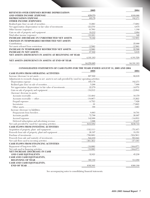|                                                                                                       | 2005 | 2004 |
|-------------------------------------------------------------------------------------------------------|------|------|
| REVENUES OVER EXPENSES BEFORE DEPRECIATION                                                            |      |      |
|                                                                                                       |      |      |
|                                                                                                       |      |      |
| <b>OTHER INCOME (EXPENSES)</b>                                                                        |      |      |
|                                                                                                       |      |      |
|                                                                                                       |      |      |
|                                                                                                       |      |      |
|                                                                                                       |      |      |
|                                                                                                       |      |      |
|                                                                                                       |      |      |
| <b>CHANGES IN TEMPORARILY RESTRICTED NET ASSETS</b>                                                   |      |      |
|                                                                                                       |      |      |
|                                                                                                       |      |      |
|                                                                                                       |      |      |
|                                                                                                       |      |      |
| NET ASSETS (DEFICIENCY IN ASSETS) AT BEGINNING OF YEAR                                                |      |      |
|                                                                                                       |      |      |
| NET ASSETS (DEFICIENCY IN ASSETS) AT END OF YEAR                                                      |      |      |
|                                                                                                       |      |      |
| CONSOLIDATED STATEMENTS OF CASH FLOWS FOR THE YEARS ENDED AUGUST 31, 2005 AND 2004                    |      |      |
|                                                                                                       |      | 2004 |
| <b>CASH FLOWS FROM OPERATING ACTIVITIES</b>                                                           | 2005 |      |
|                                                                                                       |      |      |
| Adjustments to reconcile change in net assets to net cash provided by (used in) operating activities: |      |      |
|                                                                                                       |      |      |
|                                                                                                       |      |      |
|                                                                                                       |      |      |
|                                                                                                       |      |      |
| (Increase) decrease in assets:                                                                        |      |      |
|                                                                                                       |      |      |
|                                                                                                       |      |      |
|                                                                                                       |      |      |
|                                                                                                       |      |      |
|                                                                                                       |      |      |
| Increase (decrease) in liabilities:                                                                   |      |      |
|                                                                                                       |      |      |
|                                                                                                       |      |      |
|                                                                                                       |      |      |
|                                                                                                       |      |      |
|                                                                                                       |      |      |
| <b>CASH FLOWS FROM INVESTING ACTIVITIES</b>                                                           |      |      |
|                                                                                                       |      |      |
|                                                                                                       |      |      |
|                                                                                                       |      |      |
|                                                                                                       |      |      |
|                                                                                                       |      |      |
| CASH FLOWS FROM FINANCING ACTIVITIES                                                                  |      |      |
|                                                                                                       |      |      |
|                                                                                                       |      |      |
| <b>NET INCREASE (DECREASE) IN CASH</b>                                                                |      |      |
|                                                                                                       |      |      |
| CASH AND CASH EQUIVALENTS,                                                                            |      |      |
|                                                                                                       |      |      |
| CASH AND CASH EQUIVALENTS,                                                                            |      |      |
|                                                                                                       |      |      |

 $\rm{See}\,\,accompanying$  notes to consolidating financial statements.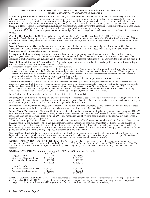#### **NOTES TO THE CONSOLIDATING FINANCIAL STATEMENTS AUGUST 31, 2005 AND 2004 NOTE 1 - SIGNIFICANT ACCOUNTING POLICIES**

**Nature of Operations** The American Hereford Association (Association) conducts research and experiments in the breeding of Hereford cattle, compiles and preserves pedigree records for owners and breeders; participates in and promotes fairs, exhibitions and cattle shows to encourage the breeding of Hereford cattle and assists with the promotion of the end product produced from Hereford cattle. Members and subscribers of the Association, Hereford Publication, Inc. (HPI) and American Beef Records Association (ABRA) are primarily owners and breeders of Hereford cattle. The members and subscribers are located worldwide, however the largest concentration is within the United States.

HPI provides publication services to Hereford cattle ranches and publishes a monthly magazine. ABRA is established to provide computer consultation in herd planning and management, breeding services and marketing for commercial livestock.

**Certified Hereford Beef, LLC** The Association is the sole member of Certified Hereford Beef LLC (CHB). CHB strives to increase demand for Hereford cattle by promoting Hereford beef as a premium beef product under the Certified Hereford Beef® trademark. CHB was formed as a limited liability company on September 1, 2001. Prior to that date, CHB's activities were performed and accounted for within the Association.

**Basis of Consolidation** The consolidating financial statements include the Association and its wholly owned subsidiaries, Hereford Publications, Inc. (HPI), Certified Hereford Beef LLC (CHB) and American Beef Records Association (ABRA). All material intercompany transactions have been eliminated in the consolidation.

**Management Estimates** Management uses estimates and assumptions in preparing financial statements in accordance with accounting principles generally accepted in the United States. These estimates and assumptions affect the reported amounts of assets and liabilities, the disclosure of contingent assets and liabilities, and the reported revenues and expenses. Actual results could vary from the estimates that were used.

**Basis of Financial Statement Presentation** The Association reports information regarding its financial position and activities according to three classes of net assets. Net assets are reported as follows:

- Unrestricted net assets, which are funds available for any purpose.
- Temporarily restricted net assets represent contributions whose use by the Association is limited by donor-imposed stipulations that either expire by passage of time or can be fulfilled and removed by actions of the Association pursuant to those stipulations. When a stipulated restriction ends or purpose of restriction is accomplished, temporarily restricted net assets are reclassified to unrestricted net assets and reported in the statement of activities as net assets released from restrictions.
- Permanently restricted net assets At August 31, 2005 and 2004 the organization had no permanently restricted net assets.

**Accounts Receivable** Accounts receivable consist of amounts billed for magazine advertising, subscriptions and member services, but not received by year-end. Bad debts are provided on the allowance method based on management's evaluation of outstanding accounts receivable at the end of each year. HPI's policy states that accounts with outstanding balances beyond 60 days will accrue interest at 1.5% per month, balances beyond 90 days will no longer be provided with services and balances beyond 120 days will be turned over to a collection agency. The allowance for doubtful accounts was \$27,059 and \$26,861 as of August 31, 2005 and 2004, respectively.

**Inventories** Inventories are valued at the lower of cost (first-in, first out) or market.

**Property, Plant and Equipment** Property, plant and equipment are recorded at cost. Depreciation is computed on the straight-line method over the estimated useful lives of the related assets. Additions and betterments of \$1,000 or more are capitalized, while maintenance and repairs, which do not improve or extend the life of the asset are expensed in the year incurred.

**Investments** Investments are comprised of debt securities and are carried at fair market value. The fair market value of investments is based on quoted market prices for those investments or similar investments as of August 31, 2005 and 2004.

**Income Taxes** The Association, ABRA and CHB are exempt from federal income taxes on their primary operations under paragraph 501(c)(5) of the Internal Revenue Code. They are, however, subject to income taxes on any net income from unrelated business activities. Such activities resulted in a net loss for the year ended August 31, 2004. The Association and ABRA have been classified by the Internal Revenue Service as organizations that are not private foundations.

HPI is not exempt from federal income taxes. Deferred income tax assets and liabilities are computed annually for differences between the financial statement and tax bases of assets and liabilities that will result in taxable or deductible amounts in the future based on enacted tax laws and rates applicable to the periods in which the differences are expected to affect taxable income. Valuation allowances are established when necessary to reduce deferred tax assets to the amount expected to be realized. Income tax expense is the tax payable or refundable for the period plus or minus the change during the period in deferred tax assets and liabilities.

**Cash and Cash Equivalents** For purposes of the statement of cash flows, the Association considers all money market investments and highly liquid debt instruments purchased with a maturity of three months or less to be cash equivalents. For the years ended August 31, 2005 and 2004, investments amounting to \$68,168 and \$156,725, respectively, were considered to be cash equivalents.

**NOTE 2 - CONCENTRATION OF CREDIT RISK** The Association maintains cash accounts at a bank located in the Kansas City metropolitan area. The balances in the bank periodically exceed the Federal Deposit Insurance Corporation (FDIC) insured limit of 100,000. Funds in excess of FDIC insured limits, before considering reconciling items, were \$124,190 and \$60,856 on August 31, 2005 and 2004, respectively.

**NOTE 3 - INVESTMENTS** Investments at August 31, 2005 and 2004 are summarized as follows:

|                            | Amortized   |             |
|----------------------------|-------------|-------------|
| August 31, 2005            | Cost        | Fair Value  |
| Government bonds and notes | \$1,605,037 | \$1,595,322 |
| Corporate bonds and notes  | 100,071     | 100,578     |
|                            | \$1,705,108 | \$1,695,900 |
| August 31, 2004            |             |             |
| Government bonds and notes | \$1,351,650 | \$1,363,625 |
| Corporate bonds and notes  | 100,196     | 104,371     |
|                            | \$1.451.846 | \$1.467.996 |

**NOTE 4 - RETIREMENT PLAN** The Association established a defined contribution employee retirement plan for all eligible employees of the Association, HPI and CHB. The plan provides for employer and employee contributions based on a percentage of annual compensation. Employer contributions for the years ended August 31, 2005 and 2004 were \$75,119 and \$58,490, respectively.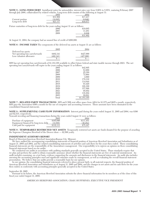**NOTE 5 - LONG-TERM DEBT** Installment notes for automobiles, interest rates vary from 5.00% to 5.85%, maturing February 2007 through July 2008, collateralized by related vehicles. Long-term debt consists of the following at August 31:

|                 | 2005     | 2004     |
|-----------------|----------|----------|
|                 | \$31.802 | \$17.217 |
| Current portion | 10.685   | (6.640)  |
| Long-term debt  | 001117   |          |

Future maturities of long-term debt for the years ending August 31 are as follows:

| r the years ending rugust or are as follows. |          |
|----------------------------------------------|----------|
| 2006                                         | \$10,685 |
| 2007                                         | 11.281   |
| 2008                                         | 9.836    |
|                                              | \$31.802 |
|                                              |          |

At August 31, 2004, the company had an unused line of credit of \$200,000.

**NOTE 6 - INCOME TAXES** The components of the deferred tax assets at August 31 are as follows:

|                                                                                      | 2005                 | 2004                 |
|--------------------------------------------------------------------------------------|----------------------|----------------------|
| Deferred tax assets:<br>Net operating loss carryforwards<br>Less valuation allowance | \$402.341<br>402.341 | \$427,000<br>427,000 |

HPI has net operating loss carryforwards of \$1,183,355 available to offset future federal and state taxable income through 2023. The net operating loss carryforwards will expire in the years ending August 31 as follows:

| 2005  | \$42,805    |
|-------|-------------|
| 2006  | 83,909      |
| 2007  | 25,389      |
| 2008  | 72,964      |
| 2009  | 4,660       |
| 2010  | 179,332     |
| 2011  | 114,044     |
| 2018  | 93,429      |
| 2019  | 168,100     |
| 2020  | 157,696     |
| 2021  | 95,052      |
| 2022  | 116,294     |
| 2023  | 29,681      |
| Total | \$1,183,355 |

**NOTE 7 - RELATED PARTY TRANSACTIONS** HPI and CHB rent office space from AHA for \$1,875 and \$625 a month, respectively. HPI pays the Association \$300 a month for the use of computer and accounting resources. These amounts have been eliminated in the consolidated financial statements.

**NOTE 8 - SUPPLEMENTAL CASH FLOW INFORMATION** Interest paid during the years ended August 31, 2005 and 2004, was \$396 and \$2,515, respectively.

Noncash investing and financing transactions during the years ended August 31 were as follows:

|                                      | 2005      | 2004      |
|--------------------------------------|-----------|-----------|
| Purchase of equipment                | \$165.696 | \$111.451 |
| Equipment financed by long-term debt | (33.585)  | (36.284)  |
| Cash paid for equipment              | \$132.111 | \$75,167  |

**NOTE 9 - TEMPORARILY RESTRICTED NET ASSETS** Temporarily restricted net assets are funds donated for the purpose of awarding the Supreme Champion Hereford of the Denver show — \$2,500 yearly.

#### **INDEPENDENT AUDITOR'S REPORT**

Board of Directors/American Hereford Association/Kansas City, Missouri,

We have audited the accompanying consolidating statements of financial position of American Hereford Association and Subsidiaries as of August 31, 2005 and 2004, and the related consolidating statements of activities and cash flows for the years then ended. These consolidating financial statements are the responsibility of the Association's management. Our responsibility is to express an opinion on these consolidating financial statements based on our audits.

We conducted our audits in accordance with auditing standards generally accepted in the United States. Those standards require that we plan and perform the audit to obtain reasonable assurance about whether the financial statements are free of material misstatement. An audit includes examining, on a test basis, evidence supporting the amounts and disclosures in the financial statements. An audit also includes assessing the accounting principles used and significant estimates made by management, as well as evaluating the overall financial statement presentation. We believe that our audits provide a reasonable basis for our opinion.

In our opinion, the consolidating financial statements referred to above present fairly, in all material respects, the financial position of American Hereford Association and Subsidiaries as of August 31, 2005 and 2004, and the changes in net assets and its cash flows for the years then ended, in conformity with accounting principles generally accepted in the United States.

September 26, 2005

Pursuant to its bylaws, the American Hereford Association submits the above financial information for its members as of the close of this fiscal year ended August 31, 2005.

AMERICAN HEREFORD ASSOCIATION, CRAIG HUFFHINES, EXECUTIVE VICE PRESIDENT